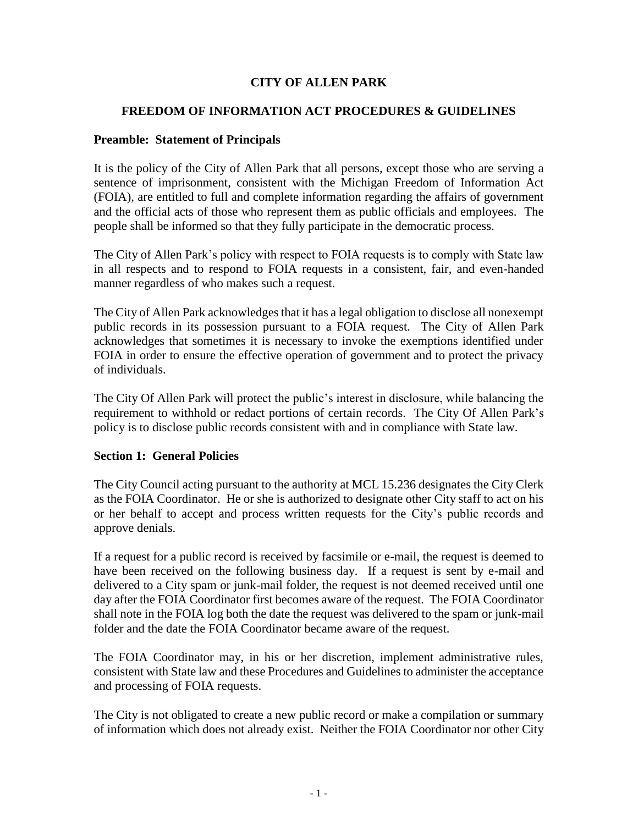# **CITY OF ALLEN PARK**

## **FREEDOM OF INFORMATION ACT PROCEDURES & GUIDELINES**

#### **Preamble: Statement of Principals**

It is the policy of the City of Allen Park that all persons, except those who are serving a sentence of imprisonment, consistent with the Michigan Freedom of Information Act (FOIA), are entitled to full and complete information regarding the affairs of government and the official acts of those who represent them as public officials and employees. The people shall be informed so that they fully participate in the democratic process.

The City of Allen Park's policy with respect to FOIA requests is to comply with State law in all respects and to respond to FOIA requests in a consistent, fair, and even-handed manner regardless of who makes such a request.

The City of Allen Park acknowledges that it has a legal obligation to disclose all nonexempt public records in its possession pursuant to a FOIA request. The City of Allen Park acknowledges that sometimes it is necessary to invoke the exemptions identified under FOIA in order to ensure the effective operation of government and to protect the privacy of individuals.

The City Of Allen Park will protect the public's interest in disclosure, while balancing the requirement to withhold or redact portions of certain records. The City Of Allen Park's policy is to disclose public records consistent with and in compliance with State law.

### **Section 1: General Policies**

The City Council acting pursuant to the authority at MCL 15.236 designates the City Clerk as the FOIA Coordinator. He or she is authorized to designate other City staff to act on his or her behalf to accept and process written requests for the City's public records and approve denials.

If a request for a public record is received by facsimile or e-mail, the request is deemed to have been received on the following business day. If a request is sent by e-mail and delivered to a City spam or junk-mail folder, the request is not deemed received until one day after the FOIA Coordinator first becomes aware of the request. The FOIA Coordinator shall note in the FOIA log both the date the request was delivered to the spam or junk-mail folder and the date the FOIA Coordinator became aware of the request.

The FOIA Coordinator may, in his or her discretion, implement administrative rules, consistent with State law and these Procedures and Guidelines to administer the acceptance and processing of FOIA requests.

The City is not obligated to create a new public record or make a compilation or summary of information which does not already exist. Neither the FOIA Coordinator nor other City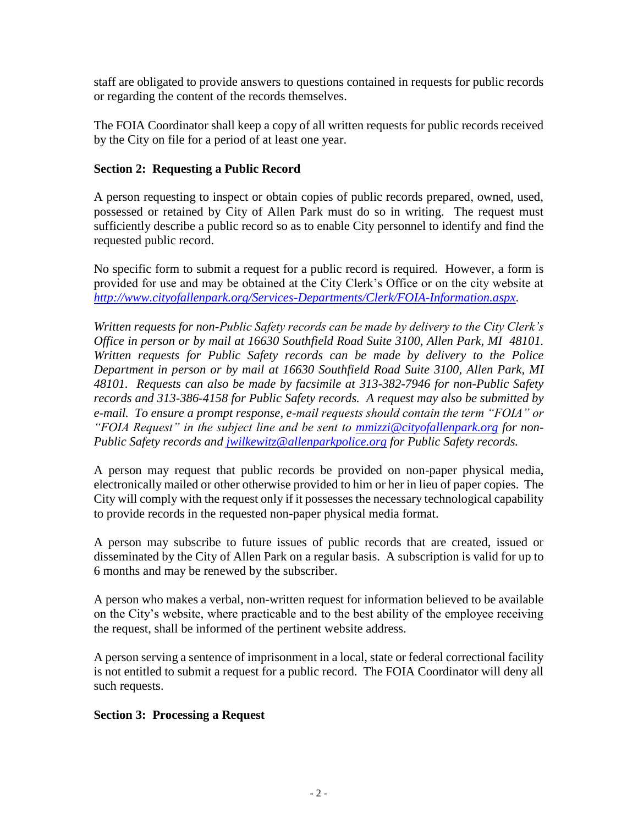staff are obligated to provide answers to questions contained in requests for public records or regarding the content of the records themselves.

The FOIA Coordinator shall keep a copy of all written requests for public records received by the City on file for a period of at least one year.

# **Section 2: Requesting a Public Record**

A person requesting to inspect or obtain copies of public records prepared, owned, used, possessed or retained by City of Allen Park must do so in writing. The request must sufficiently describe a public record so as to enable City personnel to identify and find the requested public record.

No specific form to submit a request for a public record is required. However, a form is provided for use and may be obtained at the City Clerk's Office or on the city website at *<http://www.cityofallenpark.org/Services-Departments/Clerk/FOIA-Information.aspx>*.

*Written requests for non-Public Safety records can be made by delivery to the City Clerk's Office in person or by mail at 16630 Southfield Road Suite 3100, Allen Park, MI 48101. Written requests for Public Safety records can be made by delivery to the Police Department in person or by mail at 16630 Southfield Road Suite 3100, Allen Park, MI 48101. Requests can also be made by facsimile at 313-382-7946 for non-Public Safety records and 313-386-4158 for Public Safety records. A request may also be submitted by e-mail. To ensure a prompt response, e-mail requests should contain the term "FOIA" or "FOIA Request" in the subject line and be sent to [mmizzi@cityofallenpark.org](mailto:mmizzi@cityofallenpark.org) for non-Public Safety records and [jwilkewitz@allenparkpolice.org](mailto:jwilkewitz@allenparkpolice.org) for Public Safety records.*

A person may request that public records be provided on non-paper physical media, electronically mailed or other otherwise provided to him or her in lieu of paper copies. The City will comply with the request only if it possesses the necessary technological capability to provide records in the requested non-paper physical media format.

A person may subscribe to future issues of public records that are created, issued or disseminated by the City of Allen Park on a regular basis. A subscription is valid for up to 6 months and may be renewed by the subscriber.

A person who makes a verbal, non-written request for information believed to be available on the City's website, where practicable and to the best ability of the employee receiving the request, shall be informed of the pertinent website address.

A person serving a sentence of imprisonment in a local, state or federal correctional facility is not entitled to submit a request for a public record. The FOIA Coordinator will deny all such requests.

### **Section 3: Processing a Request**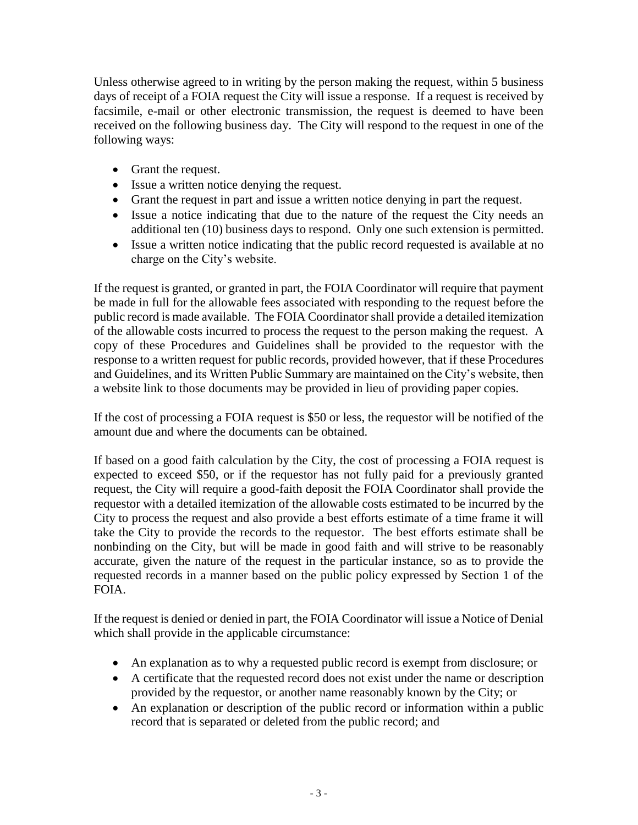Unless otherwise agreed to in writing by the person making the request, within 5 business days of receipt of a FOIA request the City will issue a response. If a request is received by facsimile, e-mail or other electronic transmission, the request is deemed to have been received on the following business day. The City will respond to the request in one of the following ways:

- Grant the request.
- Issue a written notice denying the request.
- Grant the request in part and issue a written notice denying in part the request.
- Issue a notice indicating that due to the nature of the request the City needs an additional ten (10) business days to respond. Only one such extension is permitted.
- Issue a written notice indicating that the public record requested is available at no charge on the City's website.

If the request is granted, or granted in part, the FOIA Coordinator will require that payment be made in full for the allowable fees associated with responding to the request before the public record is made available. The FOIA Coordinator shall provide a detailed itemization of the allowable costs incurred to process the request to the person making the request. A copy of these Procedures and Guidelines shall be provided to the requestor with the response to a written request for public records, provided however, that if these Procedures and Guidelines, and its Written Public Summary are maintained on the City's website, then a website link to those documents may be provided in lieu of providing paper copies.

If the cost of processing a FOIA request is \$50 or less, the requestor will be notified of the amount due and where the documents can be obtained.

If based on a good faith calculation by the City, the cost of processing a FOIA request is expected to exceed \$50, or if the requestor has not fully paid for a previously granted request, the City will require a good-faith deposit the FOIA Coordinator shall provide the requestor with a detailed itemization of the allowable costs estimated to be incurred by the City to process the request and also provide a best efforts estimate of a time frame it will take the City to provide the records to the requestor. The best efforts estimate shall be nonbinding on the City, but will be made in good faith and will strive to be reasonably accurate, given the nature of the request in the particular instance, so as to provide the requested records in a manner based on the public policy expressed by Section 1 of the FOIA.

If the request is denied or denied in part, the FOIA Coordinator will issue a Notice of Denial which shall provide in the applicable circumstance:

- An explanation as to why a requested public record is exempt from disclosure; or
- A certificate that the requested record does not exist under the name or description provided by the requestor, or another name reasonably known by the City; or
- An explanation or description of the public record or information within a public record that is separated or deleted from the public record; and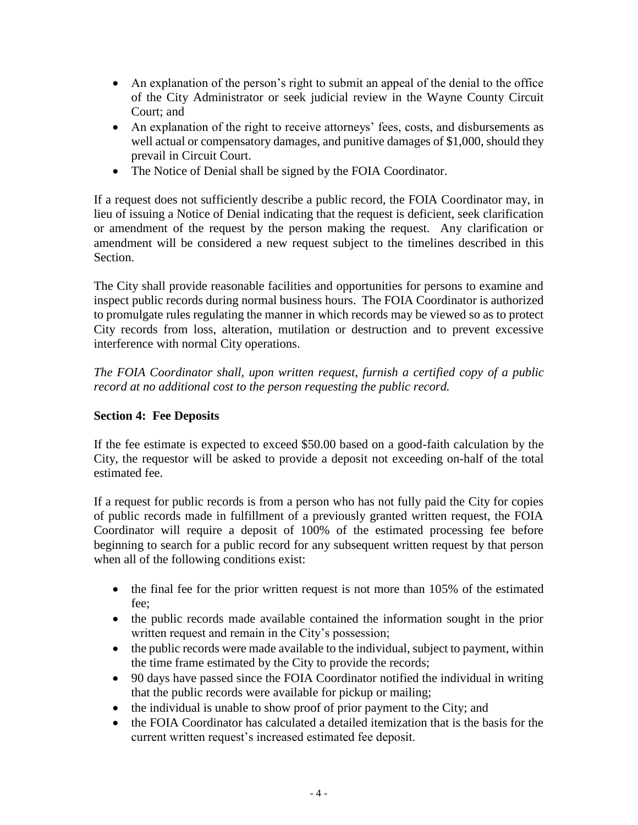- An explanation of the person's right to submit an appeal of the denial to the office of the City Administrator or seek judicial review in the Wayne County Circuit Court; and
- An explanation of the right to receive attorneys' fees, costs, and disbursements as well actual or compensatory damages, and punitive damages of \$1,000, should they prevail in Circuit Court.
- The Notice of Denial shall be signed by the FOIA Coordinator.

If a request does not sufficiently describe a public record, the FOIA Coordinator may, in lieu of issuing a Notice of Denial indicating that the request is deficient, seek clarification or amendment of the request by the person making the request. Any clarification or amendment will be considered a new request subject to the timelines described in this Section.

The City shall provide reasonable facilities and opportunities for persons to examine and inspect public records during normal business hours. The FOIA Coordinator is authorized to promulgate rules regulating the manner in which records may be viewed so as to protect City records from loss, alteration, mutilation or destruction and to prevent excessive interference with normal City operations.

*The FOIA Coordinator shall, upon written request, furnish a certified copy of a public record at no additional cost to the person requesting the public record.*

# **Section 4: Fee Deposits**

If the fee estimate is expected to exceed \$50.00 based on a good-faith calculation by the City, the requestor will be asked to provide a deposit not exceeding on-half of the total estimated fee.

If a request for public records is from a person who has not fully paid the City for copies of public records made in fulfillment of a previously granted written request, the FOIA Coordinator will require a deposit of 100% of the estimated processing fee before beginning to search for a public record for any subsequent written request by that person when all of the following conditions exist:

- $\bullet$  the final fee for the prior written request is not more than 105% of the estimated fee;
- the public records made available contained the information sought in the prior written request and remain in the City's possession;
- the public records were made available to the individual, subject to payment, within the time frame estimated by the City to provide the records;
- 90 days have passed since the FOIA Coordinator notified the individual in writing that the public records were available for pickup or mailing;
- the individual is unable to show proof of prior payment to the City; and
- the FOIA Coordinator has calculated a detailed itemization that is the basis for the current written request's increased estimated fee deposit.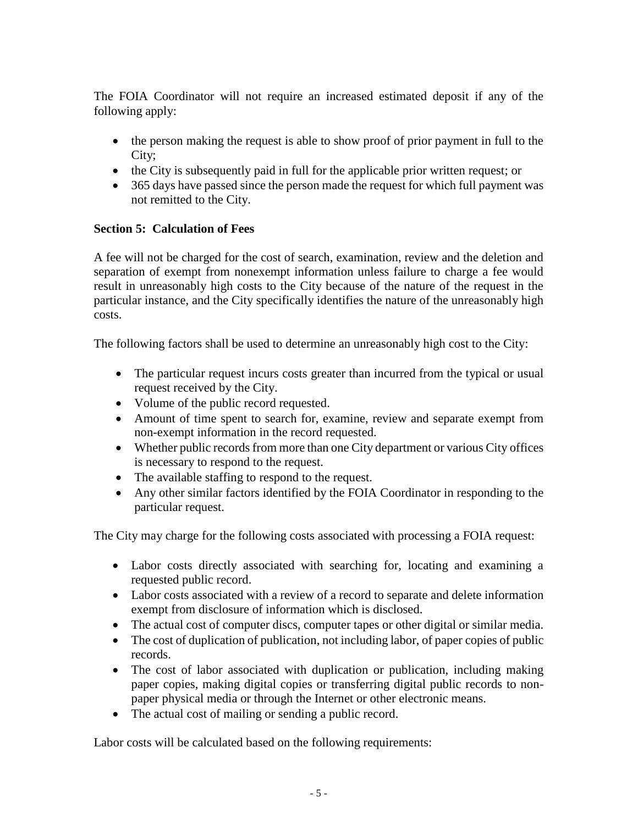The FOIA Coordinator will not require an increased estimated deposit if any of the following apply:

- the person making the request is able to show proof of prior payment in full to the City;
- the City is subsequently paid in full for the applicable prior written request; or
- 365 days have passed since the person made the request for which full payment was not remitted to the City.

# **Section 5: Calculation of Fees**

A fee will not be charged for the cost of search, examination, review and the deletion and separation of exempt from nonexempt information unless failure to charge a fee would result in unreasonably high costs to the City because of the nature of the request in the particular instance, and the City specifically identifies the nature of the unreasonably high costs.

The following factors shall be used to determine an unreasonably high cost to the City:

- The particular request incurs costs greater than incurred from the typical or usual request received by the City.
- Volume of the public record requested.
- Amount of time spent to search for, examine, review and separate exempt from non-exempt information in the record requested.
- Whether public records from more than one City department or various City offices is necessary to respond to the request.
- The available staffing to respond to the request.
- Any other similar factors identified by the FOIA Coordinator in responding to the particular request.

The City may charge for the following costs associated with processing a FOIA request:

- Labor costs directly associated with searching for, locating and examining a requested public record.
- Labor costs associated with a review of a record to separate and delete information exempt from disclosure of information which is disclosed.
- The actual cost of computer discs, computer tapes or other digital or similar media.
- The cost of duplication of publication, not including labor, of paper copies of public records.
- The cost of labor associated with duplication or publication, including making paper copies, making digital copies or transferring digital public records to nonpaper physical media or through the Internet or other electronic means.
- The actual cost of mailing or sending a public record.

Labor costs will be calculated based on the following requirements: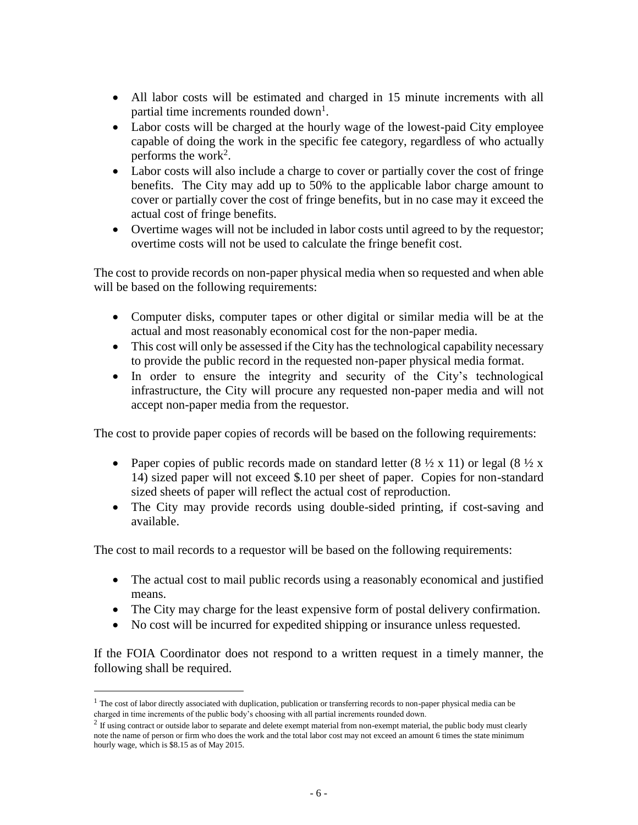- All labor costs will be estimated and charged in 15 minute increments with all partial time increments rounded down<sup>1</sup>.
- Labor costs will be charged at the hourly wage of the lowest-paid City employee capable of doing the work in the specific fee category, regardless of who actually performs the work<sup>2</sup>.
- Labor costs will also include a charge to cover or partially cover the cost of fringe benefits. The City may add up to 50% to the applicable labor charge amount to cover or partially cover the cost of fringe benefits, but in no case may it exceed the actual cost of fringe benefits.
- Overtime wages will not be included in labor costs until agreed to by the requestor; overtime costs will not be used to calculate the fringe benefit cost.

The cost to provide records on non-paper physical media when so requested and when able will be based on the following requirements:

- Computer disks, computer tapes or other digital or similar media will be at the actual and most reasonably economical cost for the non-paper media.
- This cost will only be assessed if the City has the technological capability necessary to provide the public record in the requested non-paper physical media format.
- In order to ensure the integrity and security of the City's technological infrastructure, the City will procure any requested non-paper media and will not accept non-paper media from the requestor.

The cost to provide paper copies of records will be based on the following requirements:

- Paper copies of public records made on standard letter  $(8 \frac{1}{2} \times 11)$  or legal  $(8 \frac{1}{2} \times$ 14) sized paper will not exceed \$.10 per sheet of paper. Copies for non-standard sized sheets of paper will reflect the actual cost of reproduction.
- The City may provide records using double-sided printing, if cost-saving and available.

The cost to mail records to a requestor will be based on the following requirements:

- The actual cost to mail public records using a reasonably economical and justified means.
- The City may charge for the least expensive form of postal delivery confirmation.
- No cost will be incurred for expedited shipping or insurance unless requested.

If the FOIA Coordinator does not respond to a written request in a timely manner, the following shall be required.

 $\overline{a}$ 

<sup>&</sup>lt;sup>1</sup> The cost of labor directly associated with duplication, publication or transferring records to non-paper physical media can be charged in time increments of the public body's choosing with all partial increments rounded down.

 $2$  If using contract or outside labor to separate and delete exempt material from non-exempt material, the public body must clearly note the name of person or firm who does the work and the total labor cost may not exceed an amount 6 times the state minimum hourly wage, which is \$8.15 as of May 2015.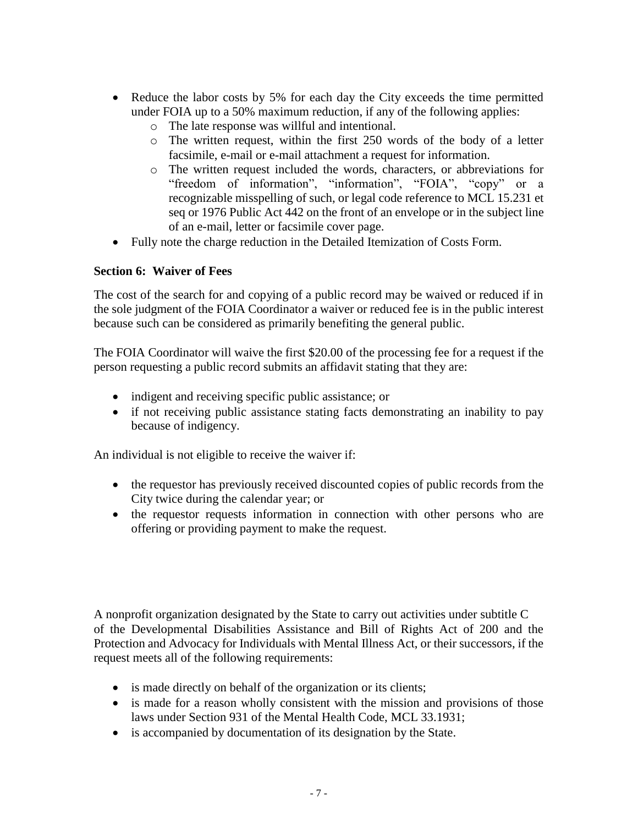- Reduce the labor costs by 5% for each day the City exceeds the time permitted under FOIA up to a 50% maximum reduction, if any of the following applies:
	- o The late response was willful and intentional.
	- o The written request, within the first 250 words of the body of a letter facsimile, e-mail or e-mail attachment a request for information.
	- o The written request included the words, characters, or abbreviations for "freedom of information", "information", "FOIA", "copy" or a recognizable misspelling of such, or legal code reference to MCL 15.231 et seq or 1976 Public Act 442 on the front of an envelope or in the subject line of an e-mail, letter or facsimile cover page.
- Fully note the charge reduction in the Detailed Itemization of Costs Form.

## **Section 6: Waiver of Fees**

The cost of the search for and copying of a public record may be waived or reduced if in the sole judgment of the FOIA Coordinator a waiver or reduced fee is in the public interest because such can be considered as primarily benefiting the general public.

The FOIA Coordinator will waive the first \$20.00 of the processing fee for a request if the person requesting a public record submits an affidavit stating that they are:

- indigent and receiving specific public assistance; or
- if not receiving public assistance stating facts demonstrating an inability to pay because of indigency.

An individual is not eligible to receive the waiver if:

- the requestor has previously received discounted copies of public records from the City twice during the calendar year; or
- the requestor requests information in connection with other persons who are offering or providing payment to make the request.

A nonprofit organization designated by the State to carry out activities under subtitle C of the Developmental Disabilities Assistance and Bill of Rights Act of 200 and the Protection and Advocacy for Individuals with Mental Illness Act, or their successors, if the request meets all of the following requirements:

- is made directly on behalf of the organization or its clients;
- is made for a reason wholly consistent with the mission and provisions of those laws under Section 931 of the Mental Health Code, MCL 33.1931;
- is accompanied by documentation of its designation by the State.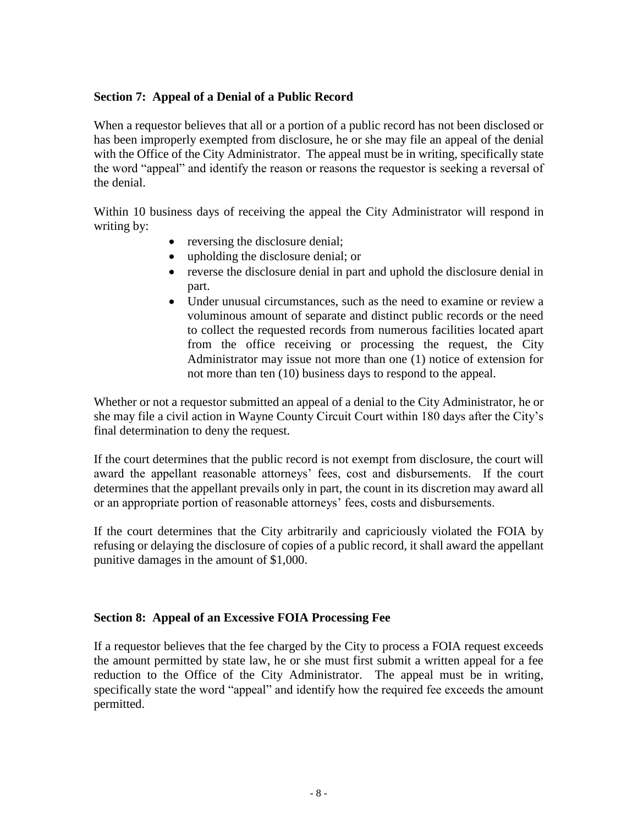## **Section 7: Appeal of a Denial of a Public Record**

When a requestor believes that all or a portion of a public record has not been disclosed or has been improperly exempted from disclosure, he or she may file an appeal of the denial with the Office of the City Administrator. The appeal must be in writing, specifically state the word "appeal" and identify the reason or reasons the requestor is seeking a reversal of the denial.

Within 10 business days of receiving the appeal the City Administrator will respond in writing by:

- reversing the disclosure denial;
- upholding the disclosure denial; or
- reverse the disclosure denial in part and uphold the disclosure denial in part.
- Under unusual circumstances, such as the need to examine or review a voluminous amount of separate and distinct public records or the need to collect the requested records from numerous facilities located apart from the office receiving or processing the request, the City Administrator may issue not more than one (1) notice of extension for not more than ten (10) business days to respond to the appeal.

Whether or not a requestor submitted an appeal of a denial to the City Administrator, he or she may file a civil action in Wayne County Circuit Court within 180 days after the City's final determination to deny the request.

If the court determines that the public record is not exempt from disclosure, the court will award the appellant reasonable attorneys' fees, cost and disbursements. If the court determines that the appellant prevails only in part, the count in its discretion may award all or an appropriate portion of reasonable attorneys' fees, costs and disbursements.

If the court determines that the City arbitrarily and capriciously violated the FOIA by refusing or delaying the disclosure of copies of a public record, it shall award the appellant punitive damages in the amount of \$1,000.

### **Section 8: Appeal of an Excessive FOIA Processing Fee**

If a requestor believes that the fee charged by the City to process a FOIA request exceeds the amount permitted by state law, he or she must first submit a written appeal for a fee reduction to the Office of the City Administrator. The appeal must be in writing, specifically state the word "appeal" and identify how the required fee exceeds the amount permitted.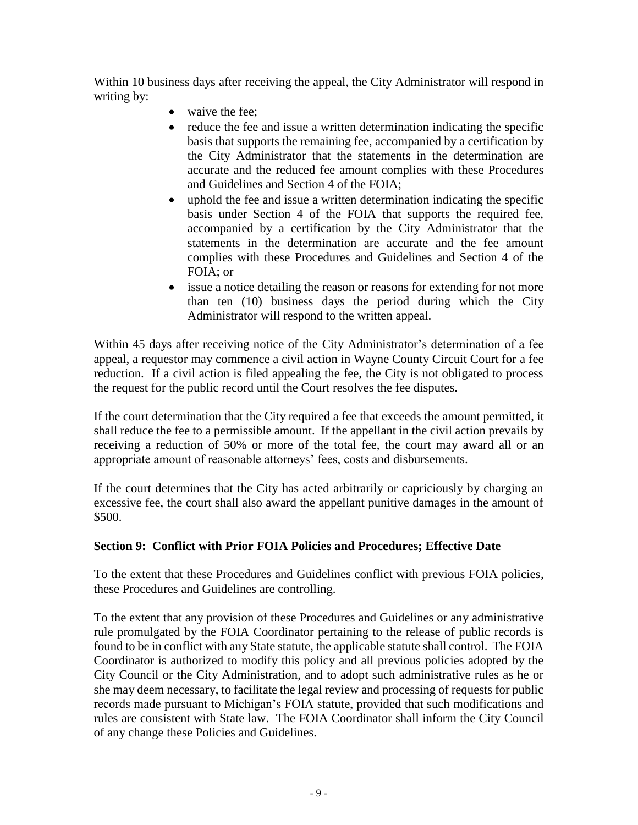Within 10 business days after receiving the appeal, the City Administrator will respond in writing by:

- waive the fee;
- reduce the fee and issue a written determination indicating the specific basis that supports the remaining fee, accompanied by a certification by the City Administrator that the statements in the determination are accurate and the reduced fee amount complies with these Procedures and Guidelines and Section 4 of the FOIA;
- uphold the fee and issue a written determination indicating the specific basis under Section 4 of the FOIA that supports the required fee, accompanied by a certification by the City Administrator that the statements in the determination are accurate and the fee amount complies with these Procedures and Guidelines and Section 4 of the FOIA; or
- issue a notice detailing the reason or reasons for extending for not more than ten (10) business days the period during which the City Administrator will respond to the written appeal.

Within 45 days after receiving notice of the City Administrator's determination of a fee appeal, a requestor may commence a civil action in Wayne County Circuit Court for a fee reduction. If a civil action is filed appealing the fee, the City is not obligated to process the request for the public record until the Court resolves the fee disputes.

If the court determination that the City required a fee that exceeds the amount permitted, it shall reduce the fee to a permissible amount. If the appellant in the civil action prevails by receiving a reduction of 50% or more of the total fee, the court may award all or an appropriate amount of reasonable attorneys' fees, costs and disbursements.

If the court determines that the City has acted arbitrarily or capriciously by charging an excessive fee, the court shall also award the appellant punitive damages in the amount of \$500.

# **Section 9: Conflict with Prior FOIA Policies and Procedures; Effective Date**

To the extent that these Procedures and Guidelines conflict with previous FOIA policies, these Procedures and Guidelines are controlling.

To the extent that any provision of these Procedures and Guidelines or any administrative rule promulgated by the FOIA Coordinator pertaining to the release of public records is found to be in conflict with any State statute, the applicable statute shall control. The FOIA Coordinator is authorized to modify this policy and all previous policies adopted by the City Council or the City Administration, and to adopt such administrative rules as he or she may deem necessary, to facilitate the legal review and processing of requests for public records made pursuant to Michigan's FOIA statute, provided that such modifications and rules are consistent with State law. The FOIA Coordinator shall inform the City Council of any change these Policies and Guidelines.